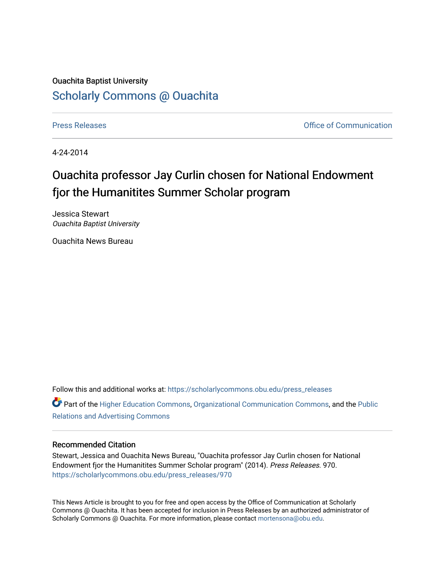## Ouachita Baptist University [Scholarly Commons @ Ouachita](https://scholarlycommons.obu.edu/)

[Press Releases](https://scholarlycommons.obu.edu/press_releases) **Press Releases Communication** 

4-24-2014

## Ouachita professor Jay Curlin chosen for National Endowment fjor the Humanitites Summer Scholar program

Jessica Stewart Ouachita Baptist University

Ouachita News Bureau

Follow this and additional works at: [https://scholarlycommons.obu.edu/press\\_releases](https://scholarlycommons.obu.edu/press_releases?utm_source=scholarlycommons.obu.edu%2Fpress_releases%2F970&utm_medium=PDF&utm_campaign=PDFCoverPages) **P** Part of the [Higher Education Commons,](http://network.bepress.com/hgg/discipline/1245?utm_source=scholarlycommons.obu.edu%2Fpress_releases%2F970&utm_medium=PDF&utm_campaign=PDFCoverPages) [Organizational Communication Commons,](http://network.bepress.com/hgg/discipline/335?utm_source=scholarlycommons.obu.edu%2Fpress_releases%2F970&utm_medium=PDF&utm_campaign=PDFCoverPages) and the [Public](http://network.bepress.com/hgg/discipline/336?utm_source=scholarlycommons.obu.edu%2Fpress_releases%2F970&utm_medium=PDF&utm_campaign=PDFCoverPages)

[Relations and Advertising Commons](http://network.bepress.com/hgg/discipline/336?utm_source=scholarlycommons.obu.edu%2Fpress_releases%2F970&utm_medium=PDF&utm_campaign=PDFCoverPages) 

## Recommended Citation

Stewart, Jessica and Ouachita News Bureau, "Ouachita professor Jay Curlin chosen for National Endowment fjor the Humanitites Summer Scholar program" (2014). Press Releases. 970. [https://scholarlycommons.obu.edu/press\\_releases/970](https://scholarlycommons.obu.edu/press_releases/970?utm_source=scholarlycommons.obu.edu%2Fpress_releases%2F970&utm_medium=PDF&utm_campaign=PDFCoverPages)

This News Article is brought to you for free and open access by the Office of Communication at Scholarly Commons @ Ouachita. It has been accepted for inclusion in Press Releases by an authorized administrator of Scholarly Commons @ Ouachita. For more information, please contact [mortensona@obu.edu](mailto:mortensona@obu.edu).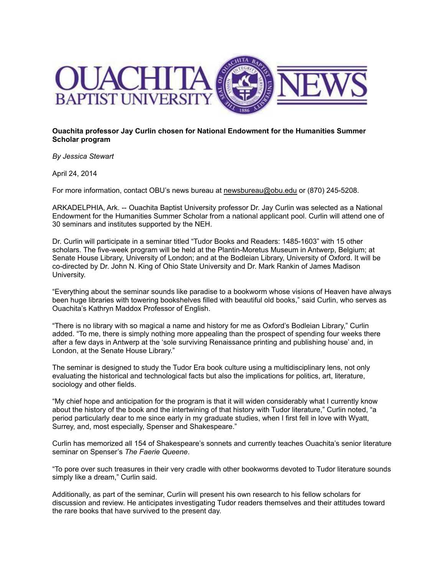

**Ouachita professor Jay Curlin chosen for National Endowment for the Humanities Summer Scholar program**

*By Jessica Stewart*

April 24, 2014

For more information, contact OBU's news bureau at [newsbureau@obu.edu](mailto:newsbureau@obu.edu) or (870) 245-5208.

ARKADELPHIA, Ark. -- Ouachita Baptist University professor Dr. Jay Curlin was selected as a National Endowment for the Humanities Summer Scholar from a national applicant pool. Curlin will attend one of 30 seminars and institutes supported by the NEH.

Dr. Curlin will participate in a seminar titled "Tudor Books and Readers: 1485-1603" with 15 other scholars. The five-week program will be held at the Plantin-Moretus Museum in Antwerp, Belgium; at Senate House Library, University of London; and at the Bodleian Library, University of Oxford. It will be co-directed by Dr. John N. King of Ohio State University and Dr. Mark Rankin of James Madison University.

"Everything about the seminar sounds like paradise to a bookworm whose visions of Heaven have always been huge libraries with towering bookshelves filled with beautiful old books," said Curlin, who serves as Ouachita's Kathryn Maddox Professor of English.

"There is no library with so magical a name and history for me as Oxford's Bodleian Library," Curlin added. "To me, there is simply nothing more appealing than the prospect of spending four weeks there after a few days in Antwerp at the 'sole surviving Renaissance printing and publishing house' and, in London, at the Senate House Library."

The seminar is designed to study the Tudor Era book culture using a multidisciplinary lens, not only evaluating the historical and technological facts but also the implications for politics, art, literature, sociology and other fields.

"My chief hope and anticipation for the program is that it will widen considerably what I currently know about the history of the book and the intertwining of that history with Tudor literature," Curlin noted, "a period particularly dear to me since early in my graduate studies, when I first fell in love with Wyatt, Surrey, and, most especially, Spenser and Shakespeare."

Curlin has memorized all 154 of Shakespeare's sonnets and currently teaches Ouachita's senior literature seminar on Spenser's *The Faerie Queene*.

"To pore over such treasures in their very cradle with other bookworms devoted to Tudor literature sounds simply like a dream," Curlin said.

Additionally, as part of the seminar, Curlin will present his own research to his fellow scholars for discussion and review. He anticipates investigating Tudor readers themselves and their attitudes toward the rare books that have survived to the present day.